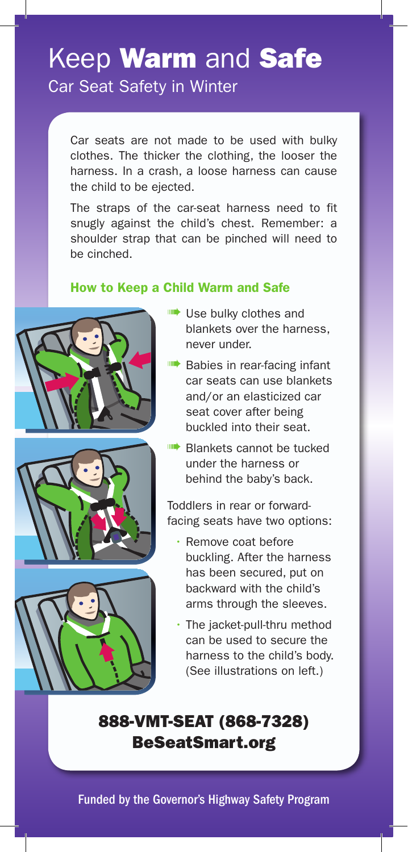# Keep **Warm** and Safe Car Seat Safety in Winter

Car seats are not made to be used with bulky clothes. The thicker the clothing, the looser the harness. In a crash, a loose harness can cause the child to be ejected.

The straps of the car-seat harness need to fit snugly against the child's chest. Remember: a shoulder strap that can be pinched will need to be cinched.

#### How to Keep a Child Warm and Safe







- **ILL** Use bulky clothes and blankets over the harness, never under.
- **IIII•** Babies in rear-facing infant car seats can use blankets and/or an elasticized car seat cover after being buckled into their seat.
- ➠ Blankets cannot be tucked under the harness or behind the baby's back.

Toddlers in rear or forwardfacing seats have two options:

- Remove coat before buckling. After the harness has been secured, put on backward with the child's arms through the sleeves.
- The jacket-pull-thru method can be used to secure the harness to the child's body. (See illustrations on left.)

## 888-VMT-SEAT (868-7328) BeSeatSmart.org

Funded by the Governor's Highway Safety Program